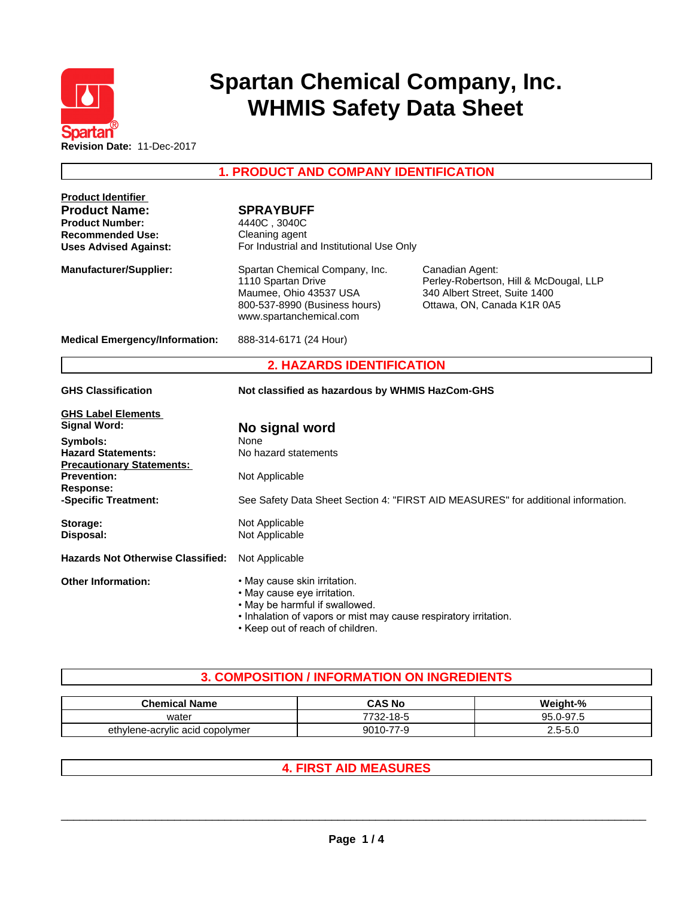

# **Spartan Chemical Company, Inc. WHMIS Safety Data Sheet**

**1. PRODUCT AND COMPANY IDENTIFICATION**

| <b>Product Identifier</b><br><b>Product Name:</b><br><b>Product Number:</b><br><b>Recommended Use:</b><br><b>Uses Advised Against:</b> | <b>SPRAYBUFF</b><br>4440C, 3040C<br>Cleaning agent<br>For Industrial and Institutional Use Only                                                                                                       |                                                                                                                          |
|----------------------------------------------------------------------------------------------------------------------------------------|-------------------------------------------------------------------------------------------------------------------------------------------------------------------------------------------------------|--------------------------------------------------------------------------------------------------------------------------|
| <b>Manufacturer/Supplier:</b>                                                                                                          | Spartan Chemical Company, Inc.<br>1110 Spartan Drive<br>Maumee, Ohio 43537 USA<br>800-537-8990 (Business hours)<br>www.spartanchemical.com                                                            | Canadian Agent:<br>Perley-Robertson, Hill & McDougal, LLP<br>340 Albert Street, Suite 1400<br>Ottawa, ON, Canada K1R 0A5 |
| <b>Medical Emergency/Information:</b>                                                                                                  | 888-314-6171 (24 Hour)                                                                                                                                                                                |                                                                                                                          |
|                                                                                                                                        | <b>2. HAZARDS IDENTIFICATION</b>                                                                                                                                                                      |                                                                                                                          |
| <b>GHS Classification</b>                                                                                                              | Not classified as hazardous by WHMIS HazCom-GHS                                                                                                                                                       |                                                                                                                          |
| <b>GHS Label Elements</b><br><b>Signal Word:</b>                                                                                       | No signal word                                                                                                                                                                                        |                                                                                                                          |
| Symbols:<br><b>Hazard Statements:</b><br><b>Precautionary Statements:</b>                                                              | None<br>No hazard statements                                                                                                                                                                          |                                                                                                                          |
| <b>Prevention:</b><br><b>Response:</b>                                                                                                 | Not Applicable                                                                                                                                                                                        |                                                                                                                          |
| -Specific Treatment:                                                                                                                   |                                                                                                                                                                                                       | See Safety Data Sheet Section 4: "FIRST AID MEASURES" for additional information.                                        |
| Storage:<br>Disposal:                                                                                                                  | Not Applicable<br>Not Applicable                                                                                                                                                                      |                                                                                                                          |
| <b>Hazards Not Otherwise Classified:</b>                                                                                               | Not Applicable                                                                                                                                                                                        |                                                                                                                          |
| <b>Other Information:</b>                                                                                                              | • May cause skin irritation.<br>• May cause eye irritation.<br>. May be harmful if swallowed.<br>. Inhalation of vapors or mist may cause respiratory irritation.<br>• Keep out of reach of children. |                                                                                                                          |

# **3. COMPOSITION / INFORMATION ON INGREDIENTS**

| <b>Chemical Name</b>            | <b>CAS No</b>                  | Weight-%                 |
|---------------------------------|--------------------------------|--------------------------|
| water                           | $-18-5$<br><sup>7732-</sup> is | J-97.5<br>95 U<br>ີ ). ປ |
| ethylene-acrylic acid copolymer | an17                           | ∽-∽<br>-ט.ט<br><u>J</u>  |

# **4. FIRST AID MEASURES**

 $\_$  ,  $\_$  ,  $\_$  ,  $\_$  ,  $\_$  ,  $\_$  ,  $\_$  ,  $\_$  ,  $\_$  ,  $\_$  ,  $\_$  ,  $\_$  ,  $\_$  ,  $\_$  ,  $\_$  ,  $\_$  ,  $\_$  ,  $\_$  ,  $\_$  ,  $\_$  ,  $\_$  ,  $\_$  ,  $\_$  ,  $\_$  ,  $\_$  ,  $\_$  ,  $\_$  ,  $\_$  ,  $\_$  ,  $\_$  ,  $\_$  ,  $\_$  ,  $\_$  ,  $\_$  ,  $\_$  ,  $\_$  ,  $\_$  ,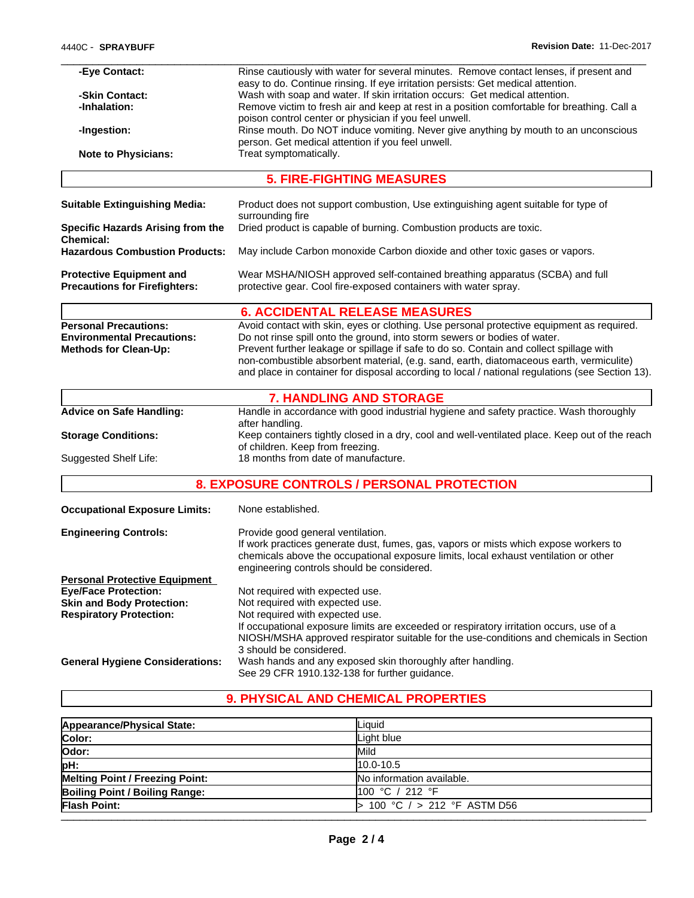| -Eye Contact:                            | Rinse cautiously with water for several minutes. Remove contact lenses, if present and                                                                          |
|------------------------------------------|-----------------------------------------------------------------------------------------------------------------------------------------------------------------|
| -Skin Contact:                           | easy to do. Continue rinsing. If eye irritation persists: Get medical attention.<br>Wash with soap and water. If skin irritation occurs: Get medical attention. |
| -Inhalation:                             | Remove victim to fresh air and keep at rest in a position comfortable for breathing. Call a                                                                     |
|                                          | poison control center or physician if you feel unwell.                                                                                                          |
| -Ingestion:                              | Rinse mouth. Do NOT induce vomiting. Never give anything by mouth to an unconscious                                                                             |
|                                          | person. Get medical attention if you feel unwell.                                                                                                               |
| <b>Note to Physicians:</b>               | Treat symptomatically.                                                                                                                                          |
|                                          |                                                                                                                                                                 |
|                                          | <b>5. FIRE-FIGHTING MEASURES</b>                                                                                                                                |
| <b>Suitable Extinguishing Media:</b>     | Product does not support combustion, Use extinguishing agent suitable for type of<br>surrounding fire                                                           |
| <b>Specific Hazards Arising from the</b> | Dried product is capable of burning. Combustion products are toxic.                                                                                             |
| <b>Chemical:</b>                         |                                                                                                                                                                 |
| <b>Hazardous Combustion Products:</b>    | May include Carbon monoxide Carbon dioxide and other toxic gases or vapors.                                                                                     |
| <b>Protective Equipment and</b>          | Wear MSHA/NIOSH approved self-contained breathing apparatus (SCBA) and full                                                                                     |
| <b>Precautions for Firefighters:</b>     | protective gear. Cool fire-exposed containers with water spray.                                                                                                 |
|                                          | <b>6. ACCIDENTAL RELEASE MEASURES</b>                                                                                                                           |
| <b>Personal Precautions:</b>             | Avoid contact with skin, eyes or clothing. Use personal protective equipment as required.                                                                       |
| <b>Environmental Precautions:</b>        | Do not rinse spill onto the ground, into storm sewers or bodies of water.                                                                                       |
| <b>Methods for Clean-Up:</b>             | Prevent further leakage or spillage if safe to do so. Contain and collect spillage with                                                                         |
|                                          | non-combustible absorbent material, (e.g. sand, earth, diatomaceous earth, vermiculite)                                                                         |
|                                          | and place in container for disposal according to local / national regulations (see Section 13).                                                                 |
|                                          | <b>7. HANDLING AND STORAGE</b>                                                                                                                                  |
| <b>Advice on Safe Handling:</b>          | Handle in accordance with good industrial hygiene and safety practice. Wash thoroughly                                                                          |
|                                          | after handling.                                                                                                                                                 |
| <b>Storage Conditions:</b>               | Keep containers tightly closed in a dry, cool and well-ventilated place. Keep out of the reach                                                                  |
|                                          | of children. Keep from freezing.                                                                                                                                |
| Suggested Shelf Life:                    | 18 months from date of manufacture.                                                                                                                             |
|                                          | 8. EXPOSURE CONTROLS / PERSONAL PROTECTION                                                                                                                      |
| <b>Occupational Exposure Limits:</b>     | None established.                                                                                                                                               |
| <b>Engineering Controls:</b>             | Provide good general ventilation.                                                                                                                               |
|                                          | If work practices generate dust, fumes, gas, vapors or mists which expose workers to                                                                            |
|                                          | chemicals above the occupational exposure limits, local exhaust ventilation or other                                                                            |
|                                          | engineering controls should be considered.                                                                                                                      |
| <b>Personal Protective Equipment</b>     |                                                                                                                                                                 |
| <b>Eye/Face Protection:</b>              | Not required with expected use.                                                                                                                                 |
| <b>Skin and Body Protection:</b>         | Not required with expected use.                                                                                                                                 |
| <b>Respiratory Protection:</b>           | Not required with expected use.                                                                                                                                 |
|                                          | If occupational exposure limits are exceeded or respiratory irritation occurs, use of a                                                                         |
|                                          | NIOSH/MSHA approved respirator suitable for the use-conditions and chemicals in Section                                                                         |
|                                          | 3 should be considered.                                                                                                                                         |
| <b>General Hygiene Considerations:</b>   | Wash hands and any exposed skin thoroughly after handling.                                                                                                      |
|                                          | See 29 CFR 1910.132-138 for further guidance.                                                                                                                   |
|                                          |                                                                                                                                                                 |

# **9. PHYSICAL AND CHEMICAL PROPERTIES**

| Appearance/Physical State:            | Liquid                       |
|---------------------------------------|------------------------------|
| Color:                                | Light blue                   |
| Odor:                                 | Mild                         |
| pH:                                   | $10.0 - 10.5$                |
| Melting Point / Freezing Point:       | No information available.    |
| <b>Boiling Point / Boiling Range:</b> | 100 °C / 212 °F              |
| <b>Flash Point:</b>                   | 100 °C $/$ > 212 °F ASTM D56 |
|                                       |                              |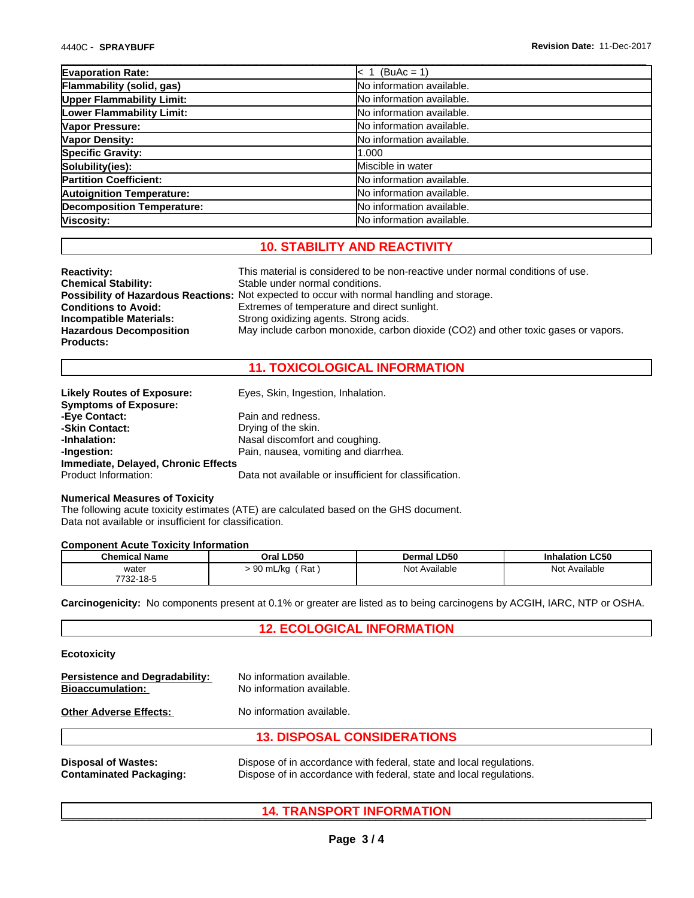| <b>Evaporation Rate:</b>          | $ < 1$ (BuAc = 1)         |  |
|-----------------------------------|---------------------------|--|
| <b>Flammability (solid, gas)</b>  | No information available. |  |
| <b>Upper Flammability Limit:</b>  | No information available. |  |
| Lower Flammability Limit:         | No information available. |  |
| Vapor Pressure:                   | No information available. |  |
| Vapor Density:                    | No information available. |  |
| <b>Specific Gravity:</b>          | 1.000                     |  |
| Solubility(ies):                  | Miscible in water         |  |
| <b>Partition Coefficient:</b>     | No information available. |  |
| <b>Autoignition Temperature:</b>  | No information available. |  |
| <b>Decomposition Temperature:</b> | No information available. |  |
| Viscosity:                        | No information available. |  |
|                                   |                           |  |

# **10. STABILITY AND REACTIVITY**

| <b>Reactivity:</b>             | This material is considered to be non-reactive under normal conditions of use.                     |
|--------------------------------|----------------------------------------------------------------------------------------------------|
| <b>Chemical Stability:</b>     | Stable under normal conditions.                                                                    |
|                                | <b>Possibility of Hazardous Reactions:</b> Not expected to occur with normal handling and storage. |
| <b>Conditions to Avoid:</b>    | Extremes of temperature and direct sunlight.                                                       |
| Incompatible Materials:        | Strong oxidizing agents. Strong acids.                                                             |
| <b>Hazardous Decomposition</b> | May include carbon monoxide, carbon dioxide (CO2) and other toxic gases or vapors.                 |
| <b>Products:</b>               |                                                                                                    |

## **11. TOXICOLOGICAL INFORMATION**

| <b>Likely Routes of Exposure:</b>   | Eyes, Skin, Ingestion, Inhalation.                     |
|-------------------------------------|--------------------------------------------------------|
| <b>Symptoms of Exposure:</b>        |                                                        |
| -Eye Contact:                       | Pain and redness.                                      |
| -Skin Contact:                      | Drying of the skin.                                    |
| -Inhalation:                        | Nasal discomfort and coughing.                         |
| -Ingestion:                         | Pain, nausea, vomiting and diarrhea.                   |
| Immediate, Delayed, Chronic Effects |                                                        |
| Product Information:                | Data not available or insufficient for classification. |

#### **Numerical Measures of Toxicity**

The following acute toxicity estimates (ATE) are calculated based on the GHS document. Data not available or insufficient for classification.

#### **Component Acute Toxicity Information**

| <b>Chemical Name</b> | Oral LD50            | 1 LD50<br>Dermal | <b>Inhalation LC50</b> |
|----------------------|----------------------|------------------|------------------------|
| water<br>.           | Rat<br>ഹ<br>90 mL/kg | Not<br>Available | Not<br>: Available     |
| 7732-18-5            |                      |                  |                        |

**Carcinogenicity:** No components present at 0.1% or greater are listed as to being carcinogens by ACGIH, IARC, NTP or OSHA.

# **12. ECOLOGICAL INFORMATION**

## **Ecotoxicity**

| <b>Persistence and Degradability:</b><br><b>Bioaccumulation:</b> | No information available.<br>No information available.              |
|------------------------------------------------------------------|---------------------------------------------------------------------|
| <b>Other Adverse Effects:</b>                                    | No information available.                                           |
|                                                                  | <b>13. DISPOSAL CONSIDERATIONS</b>                                  |
| <b>Disposal of Wastes:</b>                                       | Dispose of in accordance with federal, state and local regulations. |

**Contaminated Packaging:** Dispose of in accordance with federal, state and local regulations.

# \_\_\_\_\_\_\_\_\_\_\_\_\_\_\_\_\_\_\_\_\_\_\_\_\_\_\_\_\_\_\_\_\_\_\_\_\_\_\_\_\_\_\_\_\_\_\_\_\_\_\_\_\_\_\_\_\_\_\_\_\_\_\_\_\_\_\_\_\_\_\_\_\_\_\_\_\_\_\_\_\_\_\_\_\_\_\_\_\_\_\_\_\_ **14. TRANSPORT INFORMATION**